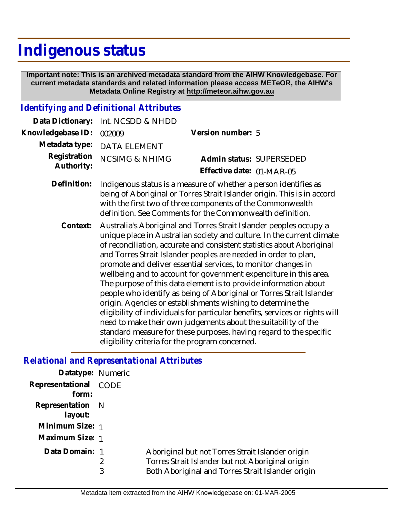# **Indigenous status**

 **Important note: This is an archived metadata standard from the AIHW Knowledgebase. For current metadata standards and related information please access METeOR, the AIHW's Metadata Online Registry at http://meteor.aihw.gov.au**

#### *Identifying and Definitional Attributes*

|                            | Data Dictionary: Int. NCSDD & NHDD                                                                                                                                                                        |                                                       |  |
|----------------------------|-----------------------------------------------------------------------------------------------------------------------------------------------------------------------------------------------------------|-------------------------------------------------------|--|
| Knowledgebase ID:          | 002009                                                                                                                                                                                                    | Version number: 5                                     |  |
|                            | Metadata type: DATA ELEMENT                                                                                                                                                                               |                                                       |  |
| Registration<br>Authority: | <b>NCSIMG &amp; NHIMG</b>                                                                                                                                                                                 | Admin status: SUPERSEDED<br>Effective date: 01-MAR-05 |  |
| Definition:                | Indigenous status is a measure of whether a person identifies as<br>being of Aboriginal or Torres Strait Islander origin. This is in accord<br>with the first two of three components of the Commonwealth |                                                       |  |

Australia's Aboriginal and Torres Strait Islander peoples occupy a unique place in Australian society and culture. In the current climate of reconciliation, accurate and consistent statistics about Aboriginal and Torres Strait Islander peoples are needed in order to plan, promote and deliver essential services, to monitor changes in wellbeing and to account for government expenditure in this area. The purpose of this data element is to provide information about people who identify as being of Aboriginal or Torres Strait Islander origin. Agencies or establishments wishing to determine the eligibility of individuals for particular benefits, services or rights will need to make their own judgements about the suitability of the standard measure for these purposes, having regard to the specific eligibility criteria for the program concerned. **Context:**

definition. See Comments for the Commonwealth definition.

### *Relational and Representational Attributes*

| Datatype: Numeric           |      |                                                                                                                                                           |
|-----------------------------|------|-----------------------------------------------------------------------------------------------------------------------------------------------------------|
| Representational<br>form:   | CODE |                                                                                                                                                           |
| Representation N<br>layout: |      |                                                                                                                                                           |
| Minimum Size: 1             |      |                                                                                                                                                           |
| Maximum Size: 1             |      |                                                                                                                                                           |
| Data Domain: 1              | 3    | Aboriginal but not Torres Strait Islander origin<br>Torres Strait Islander but not Aboriginal origin<br>Both Aboriginal and Torres Strait Islander origin |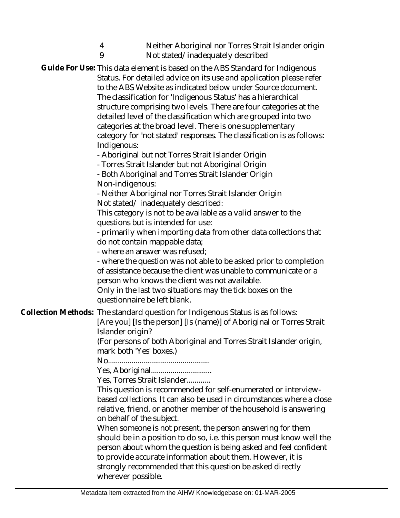| 4<br>9                                                                   | Neither Aboriginal nor Torres Strait Islander origin<br>Not stated/inadequately described                                                                                                                                                                                                                                                                                                                                                                                                                                                                                                                                                                                                                                                                                                                                                                                                                                                                                                                                                                                                                                                                                                                                                                                                                                                   |
|--------------------------------------------------------------------------|---------------------------------------------------------------------------------------------------------------------------------------------------------------------------------------------------------------------------------------------------------------------------------------------------------------------------------------------------------------------------------------------------------------------------------------------------------------------------------------------------------------------------------------------------------------------------------------------------------------------------------------------------------------------------------------------------------------------------------------------------------------------------------------------------------------------------------------------------------------------------------------------------------------------------------------------------------------------------------------------------------------------------------------------------------------------------------------------------------------------------------------------------------------------------------------------------------------------------------------------------------------------------------------------------------------------------------------------|
| Indigenous:<br>Non-indigenous:<br>questionnaire be left blank.           | Guide For Use: This data element is based on the ABS Standard for Indigenous<br>Status. For detailed advice on its use and application please refer<br>to the ABS Website as indicated below under Source document.<br>The classification for 'Indigenous Status' has a hierarchical<br>structure comprising two levels. There are four categories at the<br>detailed level of the classification which are grouped into two<br>categories at the broad level. There is one supplementary<br>category for 'not stated' responses. The classification is as follows:<br>- Aboriginal but not Torres Strait Islander Origin<br>- Torres Strait Islander but not Aboriginal Origin<br>- Both Aboriginal and Torres Strait Islander Origin<br>- Neither Aboriginal nor Torres Strait Islander Origin<br>Not stated/inadequately described:<br>This category is not to be available as a valid answer to the<br>questions but is intended for use:<br>- primarily when importing data from other data collections that<br>do not contain mappable data;<br>- where an answer was refused;<br>- where the question was not able to be asked prior to completion<br>of assistance because the client was unable to communicate or a<br>person who knows the client was not available.<br>Only in the last two situations may the tick boxes on the |
| Islander origin?<br>mark both 'Yes' boxes.)<br>on behalf of the subject. | Collection Methods: The standard question for Indigenous Status is as follows:<br>[Are you] [Is the person] [Is (name)] of Aboriginal or Torres Strait<br>(For persons of both Aboriginal and Torres Strait Islander origin,<br>Yes, Torres Strait Islander<br>This question is recommended for self-enumerated or interview-<br>based collections. It can also be used in circumstances where a close<br>relative, friend, or another member of the household is answering<br>When someone is not present, the person answering for them<br>should be in a position to do so, i.e. this person must know well the<br>person about whom the question is being asked and feel confident<br>to provide accurate information about them. However, it is<br>strongly recommended that this question be asked directly                                                                                                                                                                                                                                                                                                                                                                                                                                                                                                                           |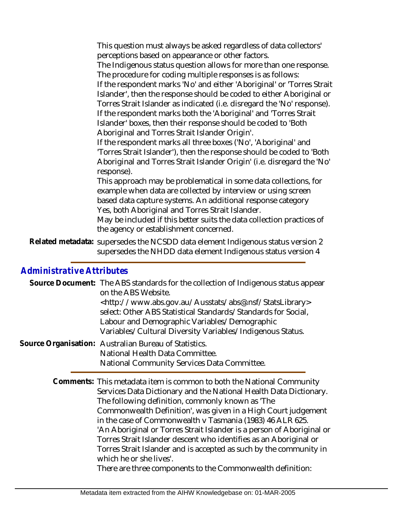This question must always be asked regardless of data collectors' perceptions based on appearance or other factors.

The Indigenous status question allows for more than one response. The procedure for coding multiple responses is as follows:

If the respondent marks 'No' and either 'Aboriginal' or 'Torres Strait Islander', then the response should be coded to either Aboriginal or Torres Strait Islander as indicated (i.e. disregard the 'No' response). If the respondent marks both the 'Aboriginal' and 'Torres Strait Islander' boxes, then their response should be coded to 'Both Aboriginal and Torres Strait Islander Origin'.

If the respondent marks all three boxes ('No', 'Aboriginal' and 'Torres Strait Islander'), then the response should be coded to 'Both Aboriginal and Torres Strait Islander Origin' (i.e. disregard the 'No' response).

This approach may be problematical in some data collections, for example when data are collected by interview or using screen based data capture systems. An additional response category Yes, both Aboriginal and Torres Strait Islander.

May be included if this better suits the data collection practices of the agency or establishment concerned.

Related metadata: supersedes the NCSDD data element Indigenous status version 2 supersedes the NHDD data element Indigenous status version 4

## *Administrative Attributes*

| Source Document: The ABS standards for the collection of Indigenous status appear<br>on the ABS Website.<br><http: abs@.nsf="" ausstats="" statslibrary="" www.abs.gov.au=""><br/>select: Other ABS Statistical Standards/Standards for Social,<br/>Labour and Demographic Variables/Demographic<br/>Variables/Cultural Diversity Variables/Indigenous Status.</http:> |
|------------------------------------------------------------------------------------------------------------------------------------------------------------------------------------------------------------------------------------------------------------------------------------------------------------------------------------------------------------------------|
| Source Organisation: Australian Bureau of Statistics.<br>National Health Data Committee.<br>National Community Services Data Committee.                                                                                                                                                                                                                                |
| Comments: This metadata item is common to both the National Community<br>Services Data Dictionary and the National Health Data Dictionary.<br>The following definition, commonly known as 'The<br>. A second of the second state of the second state of the second state of the second $\mathbf{R}$                                                                    |

Commonwealth Definition', was given in a High Court judgement in the case of Commonwealth v Tasmania (1983) 46 ALR 625. 'An Aboriginal or Torres Strait Islander is a person of Aboriginal or Torres Strait Islander descent who identifies as an Aboriginal or Torres Strait Islander and is accepted as such by the community in which he or she lives'.

There are three components to the Commonwealth definition: